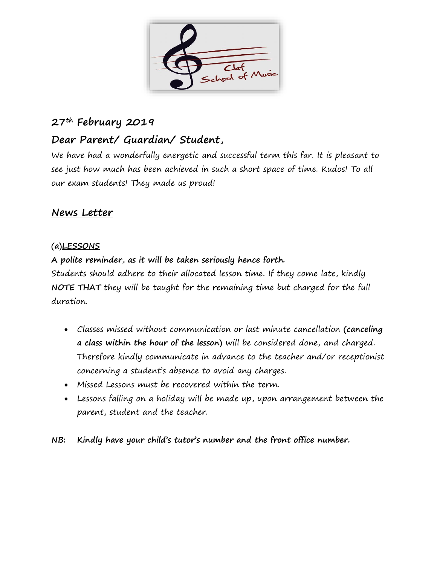

# **27th February 2019**

# **Dear Parent/ Guardian/ Student,**

We have had a wonderfully energetic and successful term this far. It is pleasant to see just how much has been achieved in such a short space of time. Kudos! To all our exam students! They made us proud!

## **News Letter**

## **(a)LESSONS**

**A polite reminder, as it will be taken seriously hence forth.**

Students should adhere to their allocated lesson time. If they come late, kindly **NOTE THAT** they will be taught for the remaining time but charged for the full duration.

- Classes missed without communication or last minute cancellation **(canceling a class within the hour of the lesson)** will be considered done, and charged. Therefore kindly communicate in advance to the teacher and/or receptionist concerning a student's absence to avoid any charges.
- Missed Lessons must be recovered within the term.
- Lessons falling on a holiday will be made up, upon arrangement between the parent, student and the teacher.

**NB: Kindly have your child's tutor's number and the front office number.**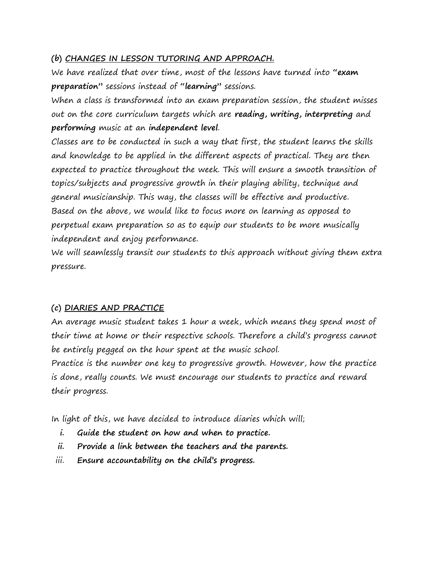#### **(b) CHANGES IN LESSON TUTORING AND APPROACH.**

We have realized that over time, most of the lessons have turned into **"exam preparation"** sessions instead of **"learning"** sessions.

When a class is transformed into an exam preparation session, the student misses out on the core curriculum targets which are **reading, writing, interpreting** and **performing** music at an **independent level**.

Classes are to be conducted in such a way that first, the student learns the skills and knowledge to be applied in the different aspects of practical. They are then expected to practice throughout the week. This will ensure a smooth transition of topics/subjects and progressive growth in their playing ability, technique and general musicianship. This way, the classes will be effective and productive. Based on the above, we would like to focus more on learning as opposed to perpetual exam preparation so as to equip our students to be more musically independent and enjoy performance.

We will seamlessly transit our students to this approach without giving them extra pressure.

## **(c) DIARIES AND PRACTICE**

An average music student takes 1 hour a week, which means they spend most of their time at home or their respective schools. Therefore a child's progress cannot be entirely pegged on the hour spent at the music school.

Practice is the number one key to progressive growth. However, how the practice is done, really counts. We must encourage our students to practice and reward their progress.

In light of this, we have decided to introduce diaries which will;

- **i. Guide the student on how and when to practice.**
- **ii. Provide a link between the teachers and the parents.**
- iii. **Ensure accountability on the child's progress.**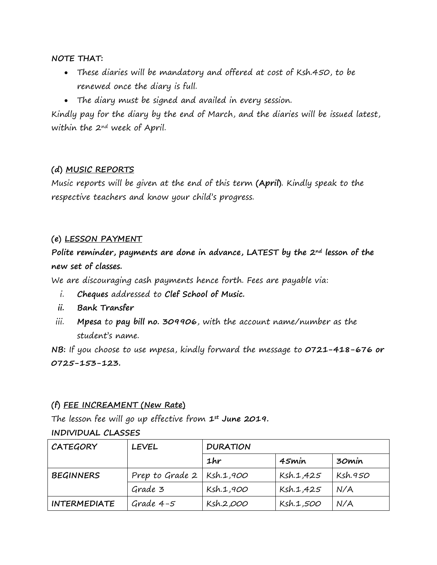**NOTE THAT:**

- These diaries will be mandatory and offered at cost of Ksh.450, to be renewed once the diary is full.
- The diary must be signed and availed in every session.

Kindly pay for the diary by the end of March, and the diaries will be issued latest, within the 2nd week of April.

## **(d) MUSIC REPORTS**

Music reports will be given at the end of this term **(April)**. Kindly speak to the respective teachers and know your child's progress.

## **(e) LESSON PAYMENT**

**Polite reminder, payments are done in advance, LATEST by the 2nd lesson of the new set of classes.**

We are discouraging cash payments hence forth. Fees are payable via:

- i. **Cheques** addressed to **Clef School of Music.**
- **ii. Bank Transfer**
- iii. **Mpesa** to **pay bill no. 309906**, with the account name/number as the student's name.

**NB:** If you choose to use mpesa, kindly forward the message to **0721-418-676 or 0725-153-123.**

## **(f) FEE INCREAMENT (New Rate)**

The lesson fee will go up effective from **1st June 2019.**

## **INDIVIDUAL CLASSES**

| <b>CATEGORY</b>     | <b>LEVEL</b>                  | <b>DURATION</b> |           |         |
|---------------------|-------------------------------|-----------------|-----------|---------|
|                     |                               | 1hr             | 45min     | 30min   |
| <b>BEGINNERS</b>    | Prep to Grade $2$   Ksh.1,900 |                 | Ksh.1,425 | Ksh.950 |
|                     | Grade 3                       | Ksh.1,900       | Ksh.1,425 | N/A     |
| <b>INTERMEDIATE</b> | Grade $4-5$                   | Ksh.2,000       | Ksh.1,500 | N/A     |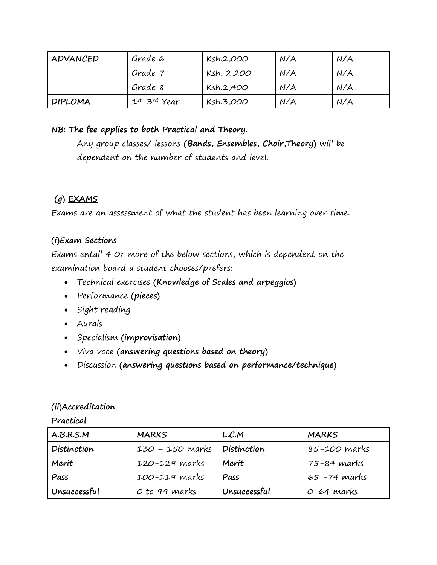| ADVANCED       | Grade 6            | Ksh.2,000  | N/A | N/A |
|----------------|--------------------|------------|-----|-----|
|                | Grade 7            | Ksh. 2,200 | N/A | N/A |
|                | Grade 8            | Ksh.2,400  | N/A | N/A |
| <b>DIPLOMA</b> | $1^{st}$ -3rd Year | Ksh.3,000  | N/A | N/A |

## **NB: The fee applies to both Practical and Theory.**

Any group classes/ lessons **(Bands, Ensembles, Choir,Theory)** will be dependent on the number of students and level.

## **(g) EXAMS**

Exams are an assessment of what the student has been learning over time.

## **(i)Exam Sections**

Exams entail 4 0r more of the below sections, which is dependent on the examination board a student chooses/prefers:

- Technical exercises **(Knowledge of Scales and arpeggios)**
- Performance **(pieces)**
- Sight reading
- Aurals
- Specialism **(improvisation)**
- Viva voce **(answering questions based on theory)**
- Discussion **(answering questions based on performance/technique)**

## **(ii)Accreditation**

**Practical**

| A.B.R.S.M    | <b>MARKS</b>    | L.C.M         | <b>MARKS</b>    |
|--------------|-----------------|---------------|-----------------|
| Distinction  | 130 – 150 marks | 1 Distinction | 85-100 marks    |
| Merit        | 120-129 marks   | Merit         | 75-84 marks     |
| Pass         | 100-119 marks   | Pass          | $65 - 74$ marks |
| Unsuccessful | O to 99 marks   | Unsuccessful  | $O-64$ marks    |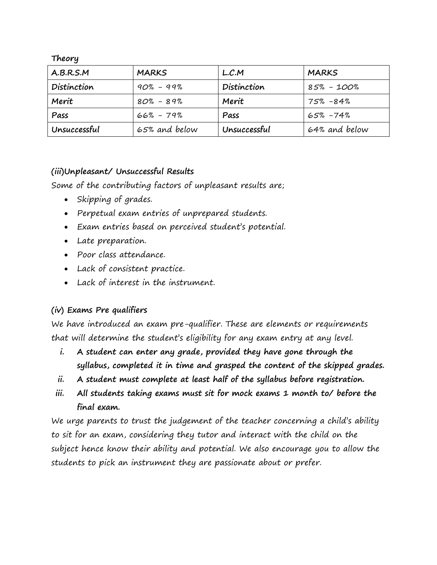**Theory**

| A.B.R.S.M    | <b>MARKS</b>  | L.C.M        | <b>MARKS</b>  |
|--------------|---------------|--------------|---------------|
| Distinction  | $90\% - 99\%$ | Distinction  | 85% - 100%    |
| Merit        | $80\% - 89\%$ | Merit        | 75% -84%      |
| Pass         | $66\% - 79\%$ | Pass         | 65% -74%      |
| Unsuccessful | 65% and below | Unsuccessful | 64% and below |

#### **(iii)Unpleasant/ Unsuccessful Results**

Some of the contributing factors of unpleasant results are;

- Skipping of grades.
- Perpetual exam entries of unprepared students.
- Exam entries based on perceived student's potential.
- Late preparation.
- Poor class attendance.
- Lack of consistent practice.
- Lack of interest in the instrument.

## **(iv) Exams Pre qualifiers**

We have introduced an exam pre-qualifier. These are elements or requirements that will determine the student's eligibility for any exam entry at any level.

- **i. A student can enter any grade, provided they have gone through the syllabus, completed it in time and grasped the content of the skipped grades.**
- **ii. A student must complete at least half of the syllabus before registration.**
- **iii. All students taking exams must sit for mock exams 1 month to/ before the final exam.**

We urge parents to trust the judgement of the teacher concerning a child's ability to sit for an exam, considering they tutor and interact with the child on the subject hence know their ability and potential. We also encourage you to allow the students to pick an instrument they are passionate about or prefer.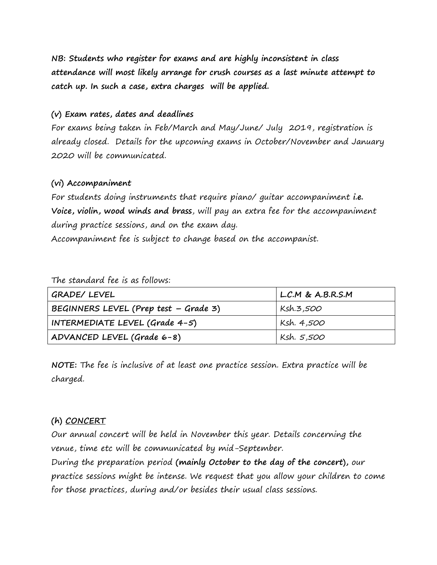**NB: Students who register for exams and are highly inconsistent in class attendance will most likely arrange for crush courses as a last minute attempt to catch up. In such a case, extra charges will be applied.**

#### **(v) Exam rates, dates and deadlines**

For exams being taken in Feb/March and May/June/ July 2019, registration is already closed. Details for the upcoming exams in October/November and January 2020 will be communicated.

#### **(vi) Accompaniment**

For students doing instruments that require piano/ guitar accompaniment **i.e. Voice, violin, wood winds and brass**, will pay an extra fee for the accompaniment during practice sessions, and on the exam day.

Accompaniment fee is subject to change based on the accompanist.

The standard fee is as follows:

| GRADE/ LEVEL                          | L.C.M & A.B.R.S.M |
|---------------------------------------|-------------------|
| BEGINNERS LEVEL (Prep test – Grade 3) | Ksh.3,500         |
| INTERMEDIATE LEVEL (Grade $4-5$ )     | Ksh. 4,500        |
| ADVANCED LEVEL (Grade 6-8)            | Ksh. 5,500        |

**NOTE:** The fee is inclusive of at least one practice session. Extra practice will be charged.

## **(h) CONCERT**

Our annual concert will be held in November this year. Details concerning the venue, time etc will be communicated by mid-September.

During the preparation period **(mainly October to the day of the concert),** our practice sessions might be intense. We request that you allow your children to come for those practices, during and/or besides their usual class sessions.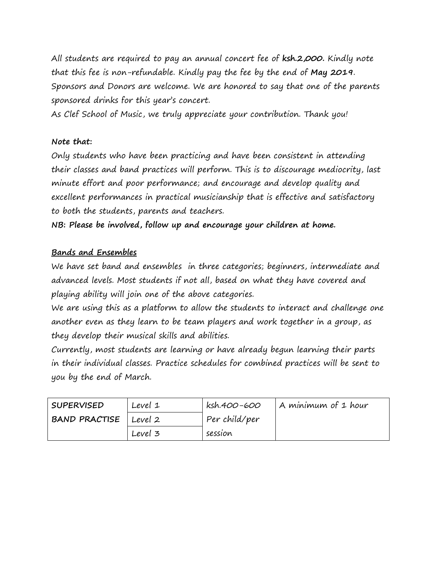All students are required to pay an annual concert fee of **ksh.2,000.** Kindly note that this fee is non-refundable. Kindly pay the fee by the end of **May 2019**. Sponsors and Donors are welcome. We are honored to say that one of the parents sponsored drinks for this year's concert.

As Clef School of Music, we truly appreciate your contribution. Thank you!

#### **Note that:**

Only students who have been practicing and have been consistent in attending their classes and band practices will perform. This is to discourage mediocrity, last minute effort and poor performance; and encourage and develop quality and excellent performances in practical musicianship that is effective and satisfactory to both the students, parents and teachers.

**NB: Please be involved, follow up and encourage your children at home.**

## **Bands and Ensembles**

We have set band and ensembles in three categories; beginners, intermediate and advanced levels. Most students if not all, based on what they have covered and playing ability will join one of the above categories.

We are using this as a platform to allow the students to interact and challenge one another even as they learn to be team players and work together in a group, as they develop their musical skills and abilities.

Currently, most students are learning or have already begun learning their parts in their individual classes. Practice schedules for combined practices will be sent to you by the end of March.

| <b>SUPERVISED</b>       | Level 1 | ksh.400-600   | A minimum of 1 hour |
|-------------------------|---------|---------------|---------------------|
| BAND PRACTISE   Level 2 |         | Per child/per |                     |
|                         | Level 3 | session       |                     |